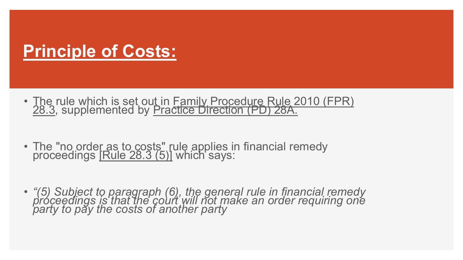## **Principle of Costs:**

- The rule which is set out in Family Procedure Rule 2010 (FPR)<br>28.3, supplemented by Practice Direction (PD) 28A.
- The "no order as to costs" rule applies in financial remedy proceedings [Rule 28.3 (5)] which says:
- *"(5) Subject to paragraph (6), the general rule in financial remedy proceedings is that the court will not make an order requiring one party to pay the costs of another party*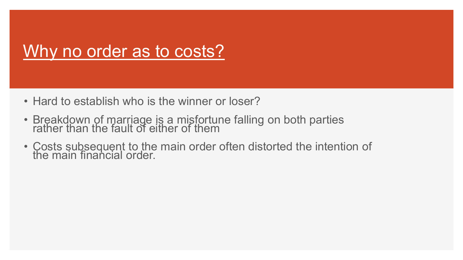## Why no order as to costs?

- Hard to establish who is the winner or loser?
- Breakdown of marriage is a misfortune falling on both parties rather than the fault of either of them
- Costs subsequent to the main order often distorted the intention of the main financial order.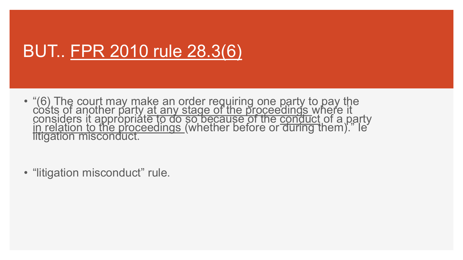## BUT.. FPR 2010 rule 28.3(6)

- "(6) The court may make an order requiring one party to pay the costs of another party at any stage of the proceedings where it considers it appropriate to do so because of the conduct of a party<br>in relation to the proceedings (whether before or during them)." Ie litigation misconduct.
- "litigation misconduct" rule.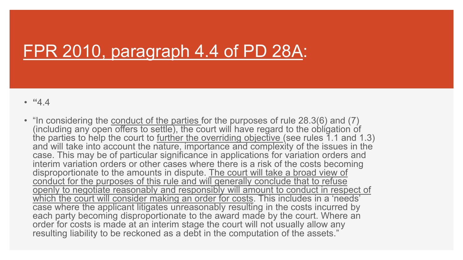## FPR 2010, paragraph 4.4 of PD 28A:

- **"**4.4
- "In considering the **conduct of the parties** for the purposes of rule 28.3(6) and (7) (including any open offers to settle), the court will have regard to the obligation of the parties to help the court to <u>further the overriding objective (</u>see rules 1.1 and 1.3) and will take into account the nature, importance and complexity of the issues in the case. This may be of particular significance in applications for variation orders and interim variation orders or other cases where there is a risk of the costs becoming disproportionate to the amounts in dispute. The court will take a broad view of conduct for the purposes of this rule and will generally conclude that to refuse openly to negotiate reasonably and responsibly will amount to conduct in respect of which the court will consider making an order for costs. This includes in a 'needs' case where the applicant litigates unreasonably resulting in the costs incurred by each party becoming disproportionate to the award made by the court. Where an order for costs is made at an interim stage the court will not usually allow any resulting liability to be reckoned as a debt in the computation of the assets."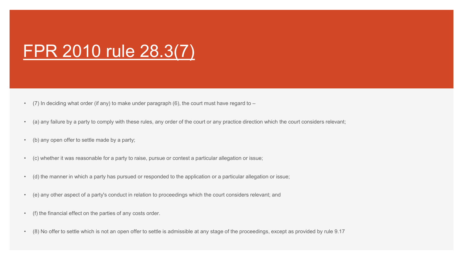## FPR 2010 rule 28.3(7)

- (7) In deciding what order (if any) to make under paragraph (6), the court must have regard to  $-$
- (a) any failure by a party to comply with these rules, any order of the court or any practice direction which the court considers relevant;
- (b) any open offer to settle made by a party;
- (c) whether it was reasonable for a party to raise, pursue or contest a particular allegation or issue;
- (d) the manner in which a party has pursued or responded to the application or a particular allegation or issue;
- (e) any other aspect of a party's conduct in relation to proceedings which the court considers relevant; and
- (f) the financial effect on the parties of any costs order.
- (8) No offer to settle which is not an open offer to settle is admissible at any stage of the proceedings, except as provided by rule 9.17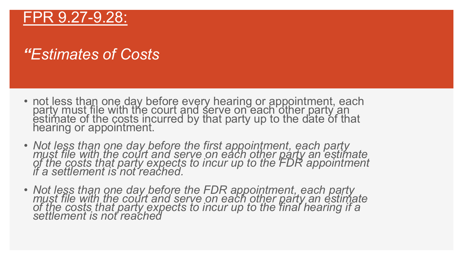#### FPR 9.27-9.28:

#### *"Estimates of Costs*

- not less than one day before every hearing or appointment, each party must file with the court and serve on each other party an estimate of the costs incurred by that party up to the date of that hearing or appointment.
- *Not less than one day before the first appointment, each party*  must file with the court and serve on each other party an estimate *of the costs that party expects to incur up to the FDR appointment if a settlement is not reached.*
- *Not less than one day before the FDR appointment, each party*  must file with the court and serve on each other party an estimate *of the costs that party expects to incur up to the final hearing if a settlement is not reached*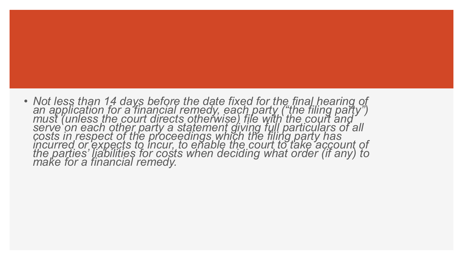• *Not less than 14 days before the date fixed for the final hearing of*  an application for a financial remedy, each party ("the filing party") must (unless the court directs otherwise) file with the court and serve on each other party a statement giving full particulars of all *costs in respect of the proceedings which the filing party has*  incurred or expects to incur, to enable the court to take account of *the parties' liabilities for costs when deciding what order (if any) to make for a financial remedy.*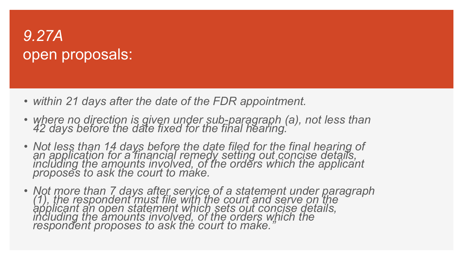### *9.27A* open proposals:

- *within 21 days after the date of the FDR appointment.*
- *where no direction is given under sub-paragraph (a), not less than 42 days before the date fixed for the final hearing.*
- *Not less than 14 days before the date filed for the final hearing of an application for a financial remedy setting out concise details,*  including the amounts involved, of the orders which the applicant *proposes to ask the court to make.*
- *Not more than 7 days after service of a statement under paragraph (1), the respondent must file with the court and serve on the applicant an open statement which sets out concise details, including the amounts involved, of the orders which the respondent proposes to ask the court to make."*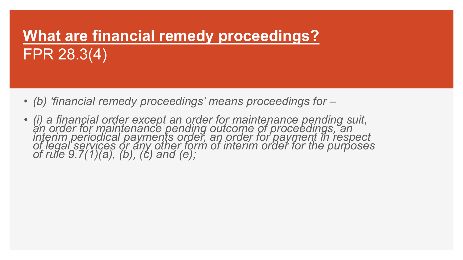## **What are financial remedy proceedings?** FPR 28.3(4)

- *(b) 'financial remedy proceedings' means proceedings for –*
- *(i) a financial order except an order for maintenance pending suit, an order for maintenance pending outcome of proceedings, an*  interim periodical payments order, an order for payment in respect *of legal services or any other form of interim order for the purposes of rule 9.7(1)(a), (b), (c) and (e);*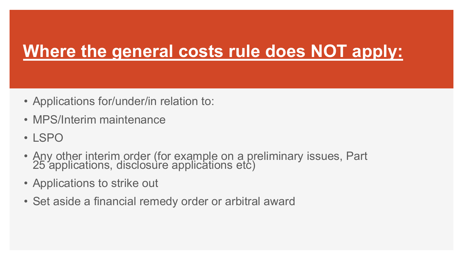## **Where the general costs rule does NOT apply:**

- Applications for/under/in relation to:
- MPS/Interim maintenance
- LSPO
- Any other interim order (for example on a preliminary issues, Part 25 applications, disclosure applications etc)
- Applications to strike out
- Set aside a financial remedy order or arbitral award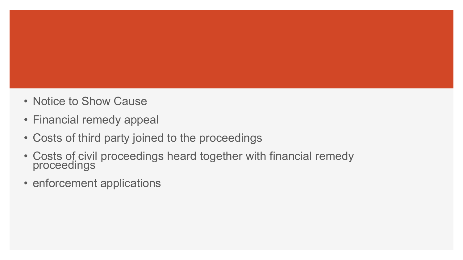- Notice to Show Cause
- Financial remedy appeal
- Costs of third party joined to the proceedings
- Costs of civil proceedings heard together with financial remedy proceedings
- enforcement applications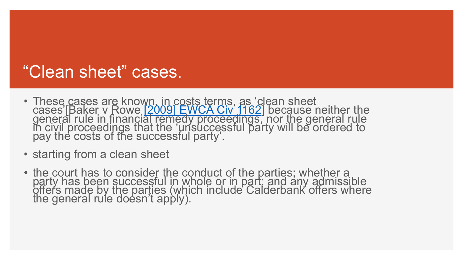## "Clean sheet" cases.

- These cases are known, in costs terms, as 'clean sheet cases'[Baker v Rowe [\[2009\] EWCA Civ 1162](http://www.bailii.org/ew/cases/EWCA/Civ/2009/1162.html)] because neither the general rule in financi[al remedy proceedings,](http://www.bailii.org/ew/cases/EWCA/Civ/2009/1162.html) nor the general rule in civil proceedings that the 'unsuccessful party will be ordered to pay the costs of the successful party'.
- starting from a clean sheet
- the court has to consider the conduct of the parties; whether a party has been successful in whole or in part; and any admissible offers made by the parties (which include Calderbank offers where the general rule doesn't apply).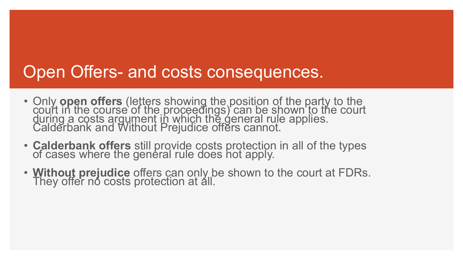### Open Offers- and costs consequences.

- Only **open offers** (letters showing the position of the party to the court in the course of the proceedings) can be shown to the court during a costs argument in which the general rule applies. Calderbank and Without Prejudice offers cannot.
- **Calderbank offers** still provide costs protection in all of the types of cases where the general rule does not apply.
- **Without prejudice** offers can only be shown to the court at FDRs. They offer no costs protection at all.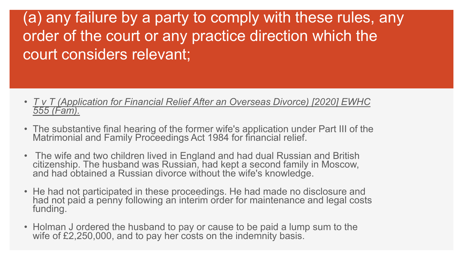(a) any failure by a party to comply with these rules, any order of the court or any practice direction which the court considers relevant;

- *T v T (Application for Financial Relief After an Overseas Divorce) [2020] EWHC 555 (Fam).*
- The substantive final hearing of the former wife's application under Part III of the Matrimonial and Family Proceedings Act 1984 for financial relief.
- The wife and two children lived in England and had dual Russian and British citizenship. The husband was Russian, had kept a second family in Moscow, and had obtained a Russian divorce without the wife's knowledge.
- He had not participated in these proceedings. He had made no disclosure and had not paid a penny following an interim order for maintenance and legal costs funding.
- Holman J ordered the husband to pay or cause to be paid a lump sum to the wife of £2,250,000, and to pay her costs on the indemnity basis.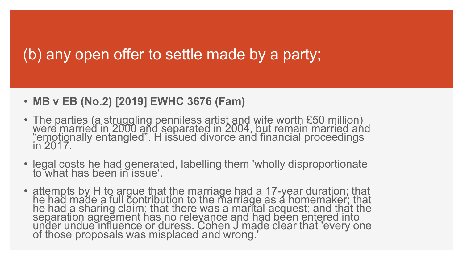#### (b) any open offer to settle made by a party;

#### • **MB v EB (No.2) [2019] EWHC 3676 (Fam)**

- The parties (a struggling penniless artist and wife worth £50 million) were married in 2000 and separated in 2004, but remain married and "emotionally entangled". H issued divorce and financial proceedings in 2017.
- legal costs he had generated, labelling them 'wholly disproportionate to what has been in issue'.
- attempts by H to argue that the marriage had a 17-year duration; that he had made a full contribution to the marriage as a homemaker; that he had a sharing claim; that there was a marital acquest; and that the separation agreement has no relevance and had been entered into under undue influence or duress. Cohen J made clear that 'every one of those proposals was misplaced and wrong.'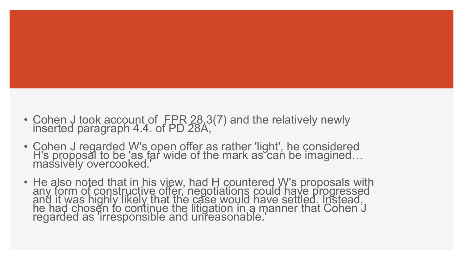- Cohen J took account of FPR 28.3(7) and the relatively newly inserted paragraph 4.4. of PD 28A,
- Cohen J regarded W's open offer as rather 'light', he considered H's proposal to be 'as far wide of the mark as can be imagined… massively overcooked.'
- He also noted that in his view, had H countered W's proposals with any form of constructive offer, negotiations could have progressed and it was highly likely that the case would have settled. Instead, he had chosen to continue the litigation in a manner that Cohen J regarded as 'irresponsible and unreasonable.'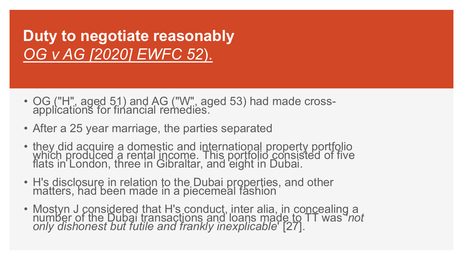**Duty to negotiate reasonably** *OG v AG [2020] EWFC 52*).

- OG ("H", aged 51) and AG ("W", aged 53) had made cross- applications for financial remedies.
- After a 25 year marriage, the parties separated
- they did acquire a domestic and international property portfolio which produced a rental income. This portfolio consisted of five flats in London, three in Gibraltar, and eight in Dubai.
- H's disclosure in relation to the Dubai properties, and other matters, had been made in a piecemeal fashion
- Mostyn J considered that H's conduct, inter alia, in concealing a number of the Dubai transactions and loans made to TT was '*not only dishonest but futile and frankly inexplicable*' [27].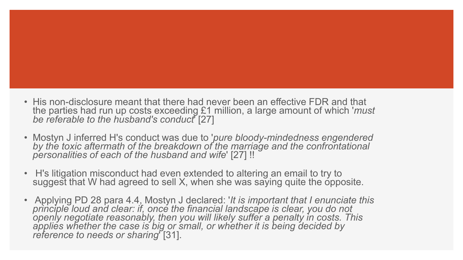- His non-disclosure meant that there had never been an effective FDR and that the parties had run up costs exceeding £1 million, a large amount of which '*must be referable to the husband's conduct*' [27]
- Mostyn J inferred H's conduct was due to '*pure bloody-mindedness engendered by the toxic aftermath of the breakdown of the marriage and the confrontational personalities of each of the husband and wife*' [27] !!
- H's litigation misconduct had even extended to altering an email to try to suggest that W had agreed to sell X, when she was saying quite the opposite.
- Applying PD 28 para 4.4, Mostyn J declared: '*It is important that I enunciate this principle loud and clear: if, once the financial landscape is clear, you do not openly negotiate reasonably, then you will likely suffer a penalty in costs. This applies whether the case is big or small, or whether it is being decided by reference to needs or sharing*' [31].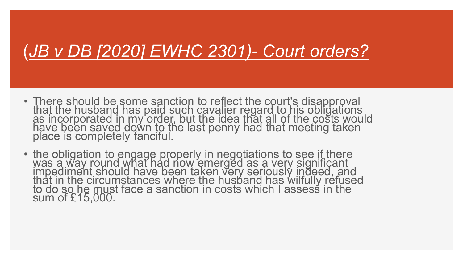## (*JB v DB [2020] EWHC 2301)- Court orders?*

- There should be some sanction to reflect the court's disapproval that the husband has paid such cavalier regard to his obligations as incorporated in my order, but the idea that all of the costs would have been saved down to the last penny had that meeting taken place is completely fanciful.
- the obligation to engage properly in negotiations to see if there was a way round what had now emerged as a very significant impediment should have been taken very seriously indeed, and that in the circumstances where the husband has wilfully refused to do so he must face a sanction in costs which I assess in the sum of £15,000.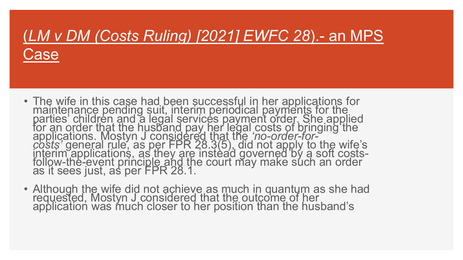## (*LM v DM (Costs Ruling) [2021] EWFC 28*).- an MPS Case

- The wife in this case had been successful in her applications for maintenance pending suit, interim periodical payments for the parties' children and a legal services payment order. She applied for an order that the husband pay her legal costs of bringing the applications. Mostyn J considered that the 'no-order-for-<br>costs' general rule, as per FPR 28.3(5), did not apply to the wife's<br>interim applications, as they are instead governed by a soft costs-<br>follow-the-event principle
- Although the wife did not achieve as much in quantum as she had requested, Mostyn J considered that the outcome of her application was much closer to her position than the husband's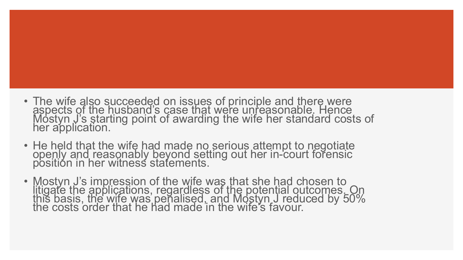- The wife also succeeded on issues of principle and there were aspects of the husband's case that were unreasonable. Hence Mostyn J's starting point of awarding the wife her standard costs of her application.
- He held that the wife had made no serious attempt to negotiate openly and reasonably beyond setting out her in-court forensic position in her witness statements.
- Mostyn J's impression of the wife was that she had chosen to litigate the applications, regardless of the potential outcomes. On this basis, the wife was penalised, and Mostyn J reduced by 50% the costs order that he had made in the wife's favour.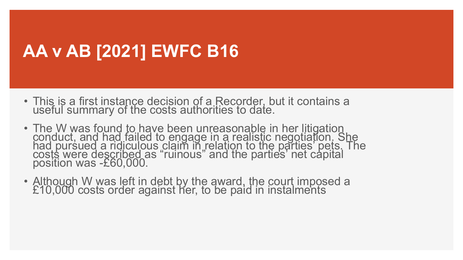## **AA v AB [2021] EWFC B16**

- This is a first instance decision of a Recorder, but it contains a useful summary of the costs authorities to date.
- The W was found to have been unreasonable in her litigation conduct, and had failed to engage in a realistic negotiation. She had pursued a ridiculous claim in relation to the parties' pets. The costs were described as "ruinous" and the parties' net capital position was -£60,000.
- Although W was left in debt by the award, the court imposed a £10,000 costs order against her, to be paid in instalments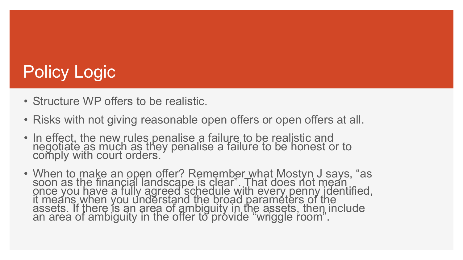# Policy Logic

- Structure WP offers to be realistic.
- Risks with not giving reasonable open offers or open offers at all.
- In effect, the new rules penalise a failure to be realistic and negotiate as much as they penalise a failure to be honest or to comply with court orders.
- When to make an open offer? Remember what Mostyn J says, "as soon as the financial landscape is clear". That does not mean once you have a fully agreed schedule with every penny identified, it means when you understand the broad parameters of the assets. If there is an area of ambiguity in the assets, then include an area of ambiguity in the offer to provide "wriggle room".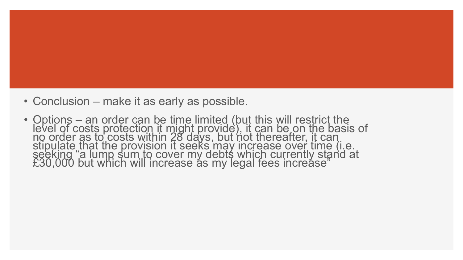- Conclusion make it as early as possible.
- Options an order can be time limited (but this will restrict the level of costs protection it might provide), it can be on the basis of no order as to costs within 28 days, but not thereafter, it can stipulate that the provision it seeks may increase over time (i.e. seeking "a lump sum to cover my debts which currently stand at £30,000 but which will increase as my legal fees increase"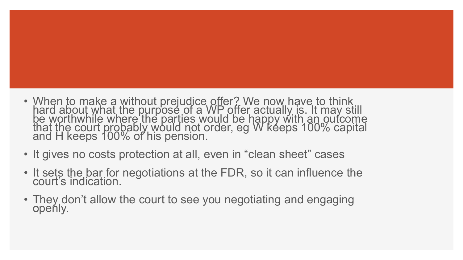- When to make a without prejudice offer? We now have to think hard about what the purpose of a WP offer actually is. It may still be worthwhile where the parties would be happy with an outcome that the court probably would not order, eg W keeps 100% capital and H keeps 100% of his pension.
- It gives no costs protection at all, even in "clean sheet" cases
- It sets the bar for negotiations at the FDR, so it can influence the court's indication.
- They don't allow the court to see you negotiating and engaging openly.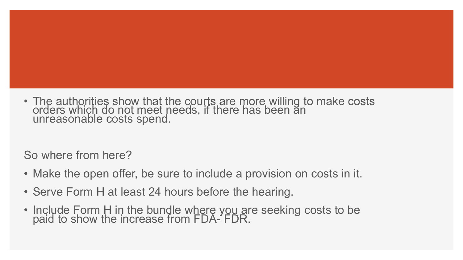• The authorities show that the courts are more willing to make costs orders which do not meet needs, if there has been an unreasonable costs spend.

So where from here?

- Make the open offer, be sure to include a provision on costs in it.
- Serve Form H at least 24 hours before the hearing.
- Include Form H in the bundle where you are seeking costs to be paid to show the increase from FDA- FDR.